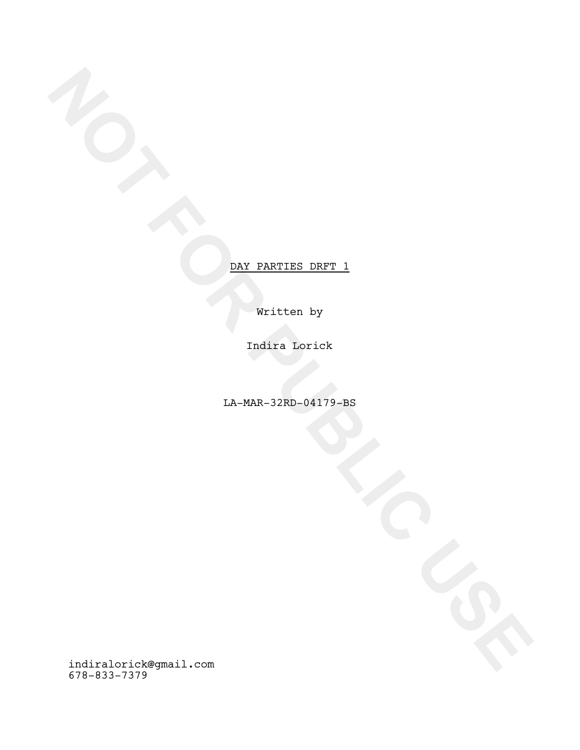Written by

Indira Lorick

LA-MAR-32RD-04179-BS

**NOT FOR PARTIES DEFT.**<br>
WITHER BY<br>
TAGRE 32RD-94179-BS<br>
TA-MAR-32RD-94179-BS<br>
TA-MAR-32RD-94179-BS<br>
TA-MAR-32RD-94179-BS<br>
TA-MAR-32RD-94179-BS indiralorick@gmail.com 678-833-7379